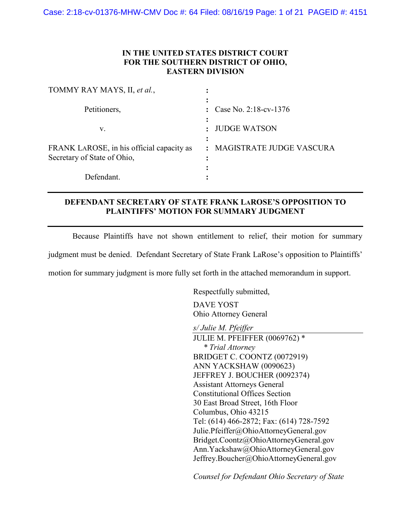# **IN THE UNITED STATES DISTRICT COURT FOR THE SOUTHERN DISTRICT OF OHIO, EASTERN DIVISION**

| TOMMY RAY MAYS, II, et al.,                                              |                                 |
|--------------------------------------------------------------------------|---------------------------------|
| Petitioners,                                                             | : Case No. 2:18-cv-1376         |
| V.                                                                       | <b>JUDGE WATSON</b>             |
| FRANK LAROSE, in his official capacity as<br>Secretary of State of Ohio, | : MAGISTRATE JUDGE VASCURA<br>٠ |
| Defendant                                                                |                                 |

# **DEFENDANT SECRETARY OF STATE FRANK LAROSE'S OPPOSITION TO PLAINTIFFS' MOTION FOR SUMMARY JUDGMENT**

Because Plaintiffs have not shown entitlement to relief, their motion for summary

judgment must be denied. Defendant Secretary of State Frank LaRose's opposition to Plaintiffs'

motion for summary judgment is more fully set forth in the attached memorandum in support.

Respectfully submitted,

DAVE YOST Ohio Attorney General

*s/ Julie M. Pfeiffer*

JULIE M. PFEIFFER (0069762) \* *\* Trial Attorney* BRIDGET C. COONTZ (0072919) ANN YACKSHAW (0090623) JEFFREY J. BOUCHER (0092374) Assistant Attorneys General Constitutional Offices Section 30 East Broad Street, 16th Floor Columbus, Ohio 43215 Tel: (614) 466-2872; Fax: (614) 728-7592 Julie.Pfeiffer@OhioAttorneyGeneral.gov Bridget.Coontz@OhioAttorneyGeneral.gov Ann.Yackshaw@OhioAttorneyGeneral.gov Jeffrey.Boucher@OhioAttorneyGeneral.gov

*Counsel for Defendant Ohio Secretary of State*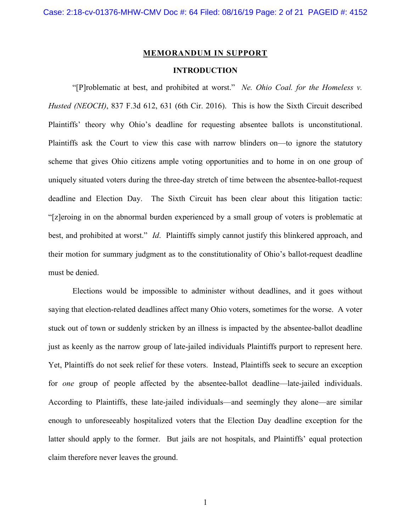#### **MEMORANDUM IN SUPPORT**

### **INTRODUCTION**

"[P]roblematic at best, and prohibited at worst." *Ne. Ohio Coal. for the Homeless v. Husted (NEOCH)*, 837 F.3d 612, 631 (6th Cir. 2016). This is how the Sixth Circuit described Plaintiffs' theory why Ohio's deadline for requesting absentee ballots is unconstitutional. Plaintiffs ask the Court to view this case with narrow blinders on—to ignore the statutory scheme that gives Ohio citizens ample voting opportunities and to home in on one group of uniquely situated voters during the three-day stretch of time between the absentee-ballot-request deadline and Election Day. The Sixth Circuit has been clear about this litigation tactic: "[z]eroing in on the abnormal burden experienced by a small group of voters is problematic at best, and prohibited at worst." *Id*. Plaintiffs simply cannot justify this blinkered approach, and their motion for summary judgment as to the constitutionality of Ohio's ballot-request deadline must be denied.

Elections would be impossible to administer without deadlines, and it goes without saying that election-related deadlines affect many Ohio voters, sometimes for the worse. A voter stuck out of town or suddenly stricken by an illness is impacted by the absentee-ballot deadline just as keenly as the narrow group of late-jailed individuals Plaintiffs purport to represent here. Yet, Plaintiffs do not seek relief for these voters. Instead, Plaintiffs seek to secure an exception for *one* group of people affected by the absentee-ballot deadline—late-jailed individuals. According to Plaintiffs, these late-jailed individuals—and seemingly they alone—are similar enough to unforeseeably hospitalized voters that the Election Day deadline exception for the latter should apply to the former. But jails are not hospitals, and Plaintiffs' equal protection claim therefore never leaves the ground.

1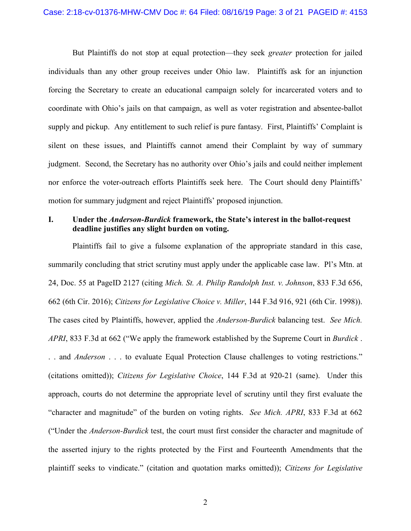But Plaintiffs do not stop at equal protection—they seek *greater* protection for jailed individuals than any other group receives under Ohio law. Plaintiffs ask for an injunction forcing the Secretary to create an educational campaign solely for incarcerated voters and to coordinate with Ohio's jails on that campaign, as well as voter registration and absentee-ballot supply and pickup. Any entitlement to such relief is pure fantasy. First, Plaintiffs' Complaint is silent on these issues, and Plaintiffs cannot amend their Complaint by way of summary judgment. Second, the Secretary has no authority over Ohio's jails and could neither implement nor enforce the voter-outreach efforts Plaintiffs seek here. The Court should deny Plaintiffs' motion for summary judgment and reject Plaintiffs' proposed injunction.

# **I. Under the** *Anderson-Burdick* **framework, the State's interest in the ballot-request deadline justifies any slight burden on voting.**

Plaintiffs fail to give a fulsome explanation of the appropriate standard in this case, summarily concluding that strict scrutiny must apply under the applicable case law. Pl's Mtn. at 24, Doc. 55 at PageID 2127 (citing *Mich. St. A. Philip Randolph Inst. v. Johnson*, 833 F.3d 656, 662 (6th Cir. 2016); *Citizens for Legislative Choice v. Miller*, 144 F.3d 916, 921 (6th Cir. 1998)). The cases cited by Plaintiffs, however, applied the *Anderson-Burdick* balancing test. *See Mich. APRI*, 833 F.3d at 662 ("We apply the framework established by the Supreme Court in *Burdick* . . . and *Anderson* . . . to evaluate Equal Protection Clause challenges to voting restrictions." (citations omitted)); *Citizens for Legislative Choice*, 144 F.3d at 920-21 (same). Under this approach, courts do not determine the appropriate level of scrutiny until they first evaluate the "character and magnitude" of the burden on voting rights. *See Mich. APRI*, 833 F.3d at 662 ("Under the *Anderson-Burdick* test, the court must first consider the character and magnitude of the asserted injury to the rights protected by the First and Fourteenth Amendments that the plaintiff seeks to vindicate." (citation and quotation marks omitted)); *Citizens for Legislative*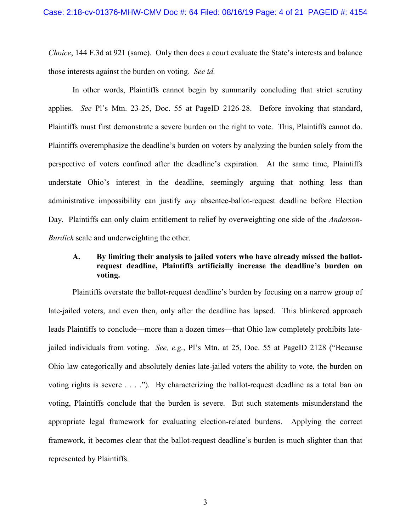*Choice*, 144 F.3d at 921 (same). Only then does a court evaluate the State's interests and balance those interests against the burden on voting. *See id.*

In other words, Plaintiffs cannot begin by summarily concluding that strict scrutiny applies. *See* Pl's Mtn. 23-25, Doc. 55 at PageID 2126-28. Before invoking that standard, Plaintiffs must first demonstrate a severe burden on the right to vote. This, Plaintiffs cannot do. Plaintiffs overemphasize the deadline's burden on voters by analyzing the burden solely from the perspective of voters confined after the deadline's expiration. At the same time, Plaintiffs understate Ohio's interest in the deadline, seemingly arguing that nothing less than administrative impossibility can justify *any* absentee-ballot-request deadline before Election Day. Plaintiffs can only claim entitlement to relief by overweighting one side of the *Anderson-Burdick* scale and underweighting the other.

# **A. By limiting their analysis to jailed voters who have already missed the ballotrequest deadline, Plaintiffs artificially increase the deadline's burden on voting.**

Plaintiffs overstate the ballot-request deadline's burden by focusing on a narrow group of late-jailed voters, and even then, only after the deadline has lapsed. This blinkered approach leads Plaintiffs to conclude—more than a dozen times—that Ohio law completely prohibits latejailed individuals from voting. *See, e.g.*, Pl's Mtn. at 25, Doc. 55 at PageID 2128 ("Because Ohio law categorically and absolutely denies late-jailed voters the ability to vote, the burden on voting rights is severe . . . ."). By characterizing the ballot-request deadline as a total ban on voting, Plaintiffs conclude that the burden is severe. But such statements misunderstand the appropriate legal framework for evaluating election-related burdens. Applying the correct framework, it becomes clear that the ballot-request deadline's burden is much slighter than that represented by Plaintiffs.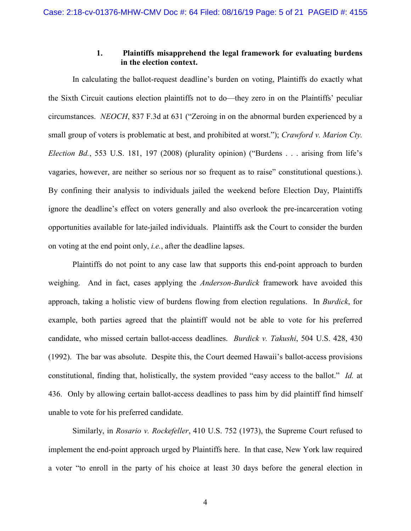### **1. Plaintiffs misapprehend the legal framework for evaluating burdens in the election context.**

In calculating the ballot-request deadline's burden on voting, Plaintiffs do exactly what the Sixth Circuit cautions election plaintiffs not to do—they zero in on the Plaintiffs' peculiar circumstances. *NEOCH*, 837 F.3d at 631 ("Zeroing in on the abnormal burden experienced by a small group of voters is problematic at best, and prohibited at worst."); *Crawford v. Marion Cty. Election Bd.*, 553 U.S. 181, 197 (2008) (plurality opinion) ("Burdens . . . arising from life's vagaries, however, are neither so serious nor so frequent as to raise" constitutional questions.). By confining their analysis to individuals jailed the weekend before Election Day, Plaintiffs ignore the deadline's effect on voters generally and also overlook the pre-incarceration voting opportunities available for late-jailed individuals. Plaintiffs ask the Court to consider the burden on voting at the end point only, *i.e.*, after the deadline lapses.

Plaintiffs do not point to any case law that supports this end-point approach to burden weighing. And in fact, cases applying the *Anderson-Burdick* framework have avoided this approach, taking a holistic view of burdens flowing from election regulations. In *Burdick*, for example, both parties agreed that the plaintiff would not be able to vote for his preferred candidate, who missed certain ballot-access deadlines. *Burdick v. Takushi*, 504 U.S. 428, 430 (1992). The bar was absolute. Despite this, the Court deemed Hawaii's ballot-access provisions constitutional, finding that, holistically, the system provided "easy access to the ballot." *Id.* at 436. Only by allowing certain ballot-access deadlines to pass him by did plaintiff find himself unable to vote for his preferred candidate.

Similarly, in *Rosario v. Rockefeller*, 410 U.S. 752 (1973), the Supreme Court refused to implement the end-point approach urged by Plaintiffs here. In that case, New York law required a voter "to enroll in the party of his choice at least 30 days before the general election in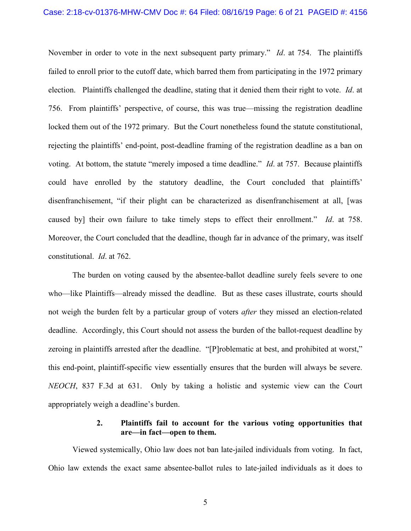November in order to vote in the next subsequent party primary." *Id*. at 754. The plaintiffs failed to enroll prior to the cutoff date, which barred them from participating in the 1972 primary election. Plaintiffs challenged the deadline, stating that it denied them their right to vote. *Id*. at 756. From plaintiffs' perspective, of course, this was true—missing the registration deadline locked them out of the 1972 primary. But the Court nonetheless found the statute constitutional, rejecting the plaintiffs' end-point, post-deadline framing of the registration deadline as a ban on voting. At bottom, the statute "merely imposed a time deadline." *Id*. at 757. Because plaintiffs could have enrolled by the statutory deadline, the Court concluded that plaintiffs' disenfranchisement, "if their plight can be characterized as disenfranchisement at all, [was caused by] their own failure to take timely steps to effect their enrollment." *Id*. at 758. Moreover, the Court concluded that the deadline, though far in advance of the primary, was itself constitutional. *Id*. at 762.

The burden on voting caused by the absentee-ballot deadline surely feels severe to one who—like Plaintiffs—already missed the deadline. But as these cases illustrate, courts should not weigh the burden felt by a particular group of voters *after* they missed an election-related deadline. Accordingly, this Court should not assess the burden of the ballot-request deadline by zeroing in plaintiffs arrested after the deadline. "[P]roblematic at best, and prohibited at worst," this end-point, plaintiff-specific view essentially ensures that the burden will always be severe. *NEOCH*, 837 F.3d at 631. Only by taking a holistic and systemic view can the Court appropriately weigh a deadline's burden.

### **2. Plaintiffs fail to account for the various voting opportunities that are—in fact—open to them.**

Viewed systemically, Ohio law does not ban late-jailed individuals from voting. In fact, Ohio law extends the exact same absentee-ballot rules to late-jailed individuals as it does to

5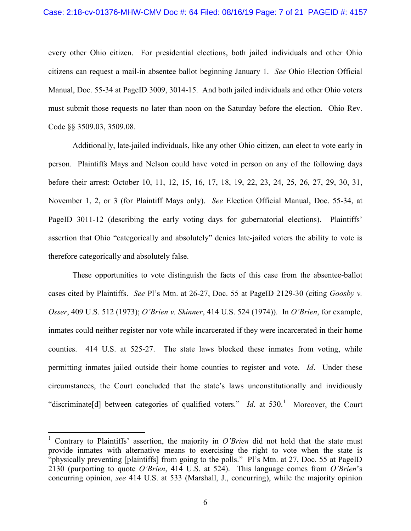#### Case: 2:18-cv-01376-MHW-CMV Doc #: 64 Filed: 08/16/19 Page: 7 of 21 PAGEID #: 4157

every other Ohio citizen. For presidential elections, both jailed individuals and other Ohio citizens can request a mail-in absentee ballot beginning January 1. *See* Ohio Election Official Manual, Doc. 55-34 at PageID 3009, 3014-15. And both jailed individuals and other Ohio voters must submit those requests no later than noon on the Saturday before the election. Ohio Rev. Code §§ 3509.03, 3509.08.

Additionally, late-jailed individuals, like any other Ohio citizen, can elect to vote early in person. Plaintiffs Mays and Nelson could have voted in person on any of the following days before their arrest: October 10, 11, 12, 15, 16, 17, 18, 19, 22, 23, 24, 25, 26, 27, 29, 30, 31, November 1, 2, or 3 (for Plaintiff Mays only). *See* Election Official Manual, Doc. 55-34, at PageID 3011-12 (describing the early voting days for gubernatorial elections). Plaintiffs' assertion that Ohio "categorically and absolutely" denies late-jailed voters the ability to vote is therefore categorically and absolutely false.

These opportunities to vote distinguish the facts of this case from the absentee-ballot cases cited by Plaintiffs. *See* Pl's Mtn. at 26-27, Doc. 55 at PageID 2129-30 (citing *Goosby v. Osser*, 409 U.S. 512 (1973); *O'Brien v. Skinner*, 414 U.S. 524 (1974)). In *O'Brien*, for example, inmates could neither register nor vote while incarcerated if they were incarcerated in their home counties. 414 U.S. at 525-27. The state laws blocked these inmates from voting, while permitting inmates jailed outside their home counties to register and vote. *Id*. Under these circumstances, the Court concluded that the state's laws unconstitutionally and invidiously "discriminate<sup>[d]</sup> between categories of qualified voters." *Id.* at 530.<sup>[1](#page-6-0)</sup> Moreover, the Court

<span id="page-6-0"></span><sup>&</sup>lt;sup>1</sup> Contrary to Plaintiffs' assertion, the majority in *O'Brien* did not hold that the state must provide inmates with alternative means to exercising the right to vote when the state is "physically preventing [plaintiffs] from going to the polls." Pl's Mtn. at 27, Doc. 55 at PageID 2130 (purporting to quote *O'Brien*, 414 U.S. at 524). This language comes from *O'Brien*'s concurring opinion, *see* 414 U.S. at 533 (Marshall, J., concurring), while the majority opinion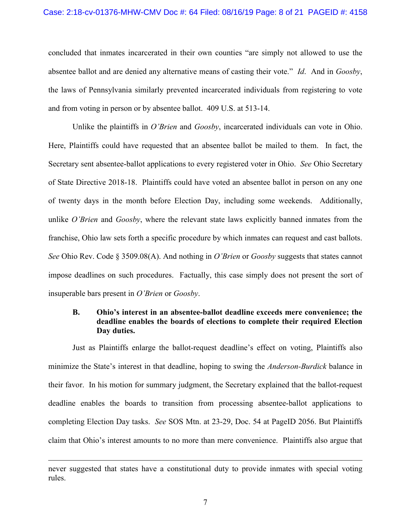#### Case: 2:18-cv-01376-MHW-CMV Doc #: 64 Filed: 08/16/19 Page: 8 of 21 PAGEID #: 4158

concluded that inmates incarcerated in their own counties "are simply not allowed to use the absentee ballot and are denied any alternative means of casting their vote." *Id*. And in *Goosby*, the laws of Pennsylvania similarly prevented incarcerated individuals from registering to vote and from voting in person or by absentee ballot. 409 U.S. at 513-14.

Unlike the plaintiffs in *O'Brien* and *Goosby*, incarcerated individuals can vote in Ohio. Here, Plaintiffs could have requested that an absentee ballot be mailed to them. In fact, the Secretary sent absentee-ballot applications to every registered voter in Ohio. *See* Ohio Secretary of State Directive 2018-18. Plaintiffs could have voted an absentee ballot in person on any one of twenty days in the month before Election Day, including some weekends. Additionally, unlike *O'Brien* and *Goosby*, where the relevant state laws explicitly banned inmates from the franchise, Ohio law sets forth a specific procedure by which inmates can request and cast ballots. *See* Ohio Rev. Code § 3509.08(A). And nothing in *O'Brien* or *Goosby* suggests that states cannot impose deadlines on such procedures. Factually, this case simply does not present the sort of insuperable bars present in *O'Brien* or *Goosby*.

## **B. Ohio's interest in an absentee-ballot deadline exceeds mere convenience; the deadline enables the boards of elections to complete their required Election Day duties.**

Just as Plaintiffs enlarge the ballot-request deadline's effect on voting, Plaintiffs also minimize the State's interest in that deadline, hoping to swing the *Anderson-Burdick* balance in their favor. In his motion for summary judgment, the Secretary explained that the ballot-request deadline enables the boards to transition from processing absentee-ballot applications to completing Election Day tasks. *See* SOS Mtn. at 23-29, Doc. 54 at PageID 2056. But Plaintiffs claim that Ohio's interest amounts to no more than mere convenience. Plaintiffs also argue that

 $\overline{a}$ 

never suggested that states have a constitutional duty to provide inmates with special voting rules.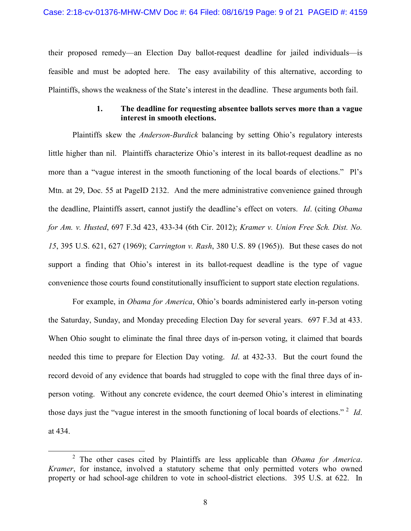their proposed remedy—an Election Day ballot-request deadline for jailed individuals—is feasible and must be adopted here. The easy availability of this alternative, according to Plaintiffs, shows the weakness of the State's interest in the deadline. These arguments both fail.

### **1. The deadline for requesting absentee ballots serves more than a vague interest in smooth elections.**

Plaintiffs skew the *Anderson-Burdick* balancing by setting Ohio's regulatory interests little higher than nil. Plaintiffs characterize Ohio's interest in its ballot-request deadline as no more than a "vague interest in the smooth functioning of the local boards of elections." Pl's Mtn. at 29, Doc. 55 at PageID 2132. And the mere administrative convenience gained through the deadline, Plaintiffs assert, cannot justify the deadline's effect on voters. *Id*. (citing *Obama for Am. v. Husted*, 697 F.3d 423, 433-34 (6th Cir. 2012); *Kramer v. Union Free Sch. Dist. No. 15*, 395 U.S. 621, 627 (1969); *Carrington v. Rash*, 380 U.S. 89 (1965)). But these cases do not support a finding that Ohio's interest in its ballot-request deadline is the type of vague convenience those courts found constitutionally insufficient to support state election regulations.

For example, in *Obama for America*, Ohio's boards administered early in-person voting the Saturday, Sunday, and Monday preceding Election Day for several years. 697 F.3d at 433. When Ohio sought to eliminate the final three days of in-person voting, it claimed that boards needed this time to prepare for Election Day voting. *Id*. at 432-33. But the court found the record devoid of any evidence that boards had struggled to cope with the final three days of inperson voting. Without any concrete evidence, the court deemed Ohio's interest in eliminating those days just the "vague interest in the smooth functioning of local boards of elections." [2](#page-8-0) *Id*. at 434.

<span id="page-8-0"></span> <sup>2</sup> The other cases cited by Plaintiffs are less applicable than *Obama for America*. *Kramer*, for instance, involved a statutory scheme that only permitted voters who owned property or had school-age children to vote in school-district elections. 395 U.S. at 622. In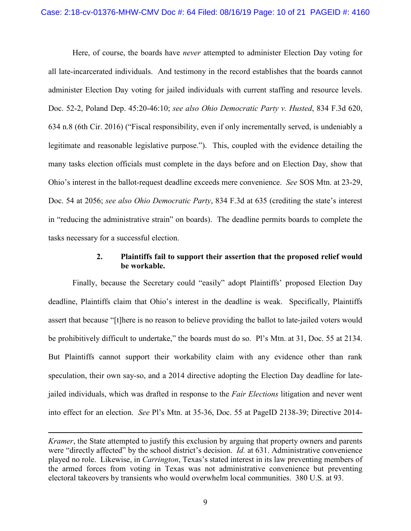Here, of course, the boards have *never* attempted to administer Election Day voting for all late-incarcerated individuals. And testimony in the record establishes that the boards cannot administer Election Day voting for jailed individuals with current staffing and resource levels. Doc. 52-2, Poland Dep. 45:20-46:10; *see also Ohio Democratic Party v. Husted*, 834 F.3d 620, 634 n.8 (6th Cir. 2016) ("Fiscal responsibility, even if only incrementally served, is undeniably a legitimate and reasonable legislative purpose."). This, coupled with the evidence detailing the many tasks election officials must complete in the days before and on Election Day, show that Ohio's interest in the ballot-request deadline exceeds mere convenience. *See* SOS Mtn. at 23-29, Doc. 54 at 2056; *see also Ohio Democratic Party*, 834 F.3d at 635 (crediting the state's interest in "reducing the administrative strain" on boards). The deadline permits boards to complete the tasks necessary for a successful election.

# **2. Plaintiffs fail to support their assertion that the proposed relief would be workable.**

Finally, because the Secretary could "easily" adopt Plaintiffs' proposed Election Day deadline, Plaintiffs claim that Ohio's interest in the deadline is weak. Specifically, Plaintiffs assert that because "[t]here is no reason to believe providing the ballot to late-jailed voters would be prohibitively difficult to undertake," the boards must do so. Pl's Mtn. at 31, Doc. 55 at 2134. But Plaintiffs cannot support their workability claim with any evidence other than rank speculation, their own say-so, and a 2014 directive adopting the Election Day deadline for latejailed individuals, which was drafted in response to the *Fair Elections* litigation and never went into effect for an election. *See* Pl's Mtn. at 35-36, Doc. 55 at PageID 2138-39; Directive 2014-

 $\overline{a}$ 

*Kramer*, the State attempted to justify this exclusion by arguing that property owners and parents were "directly affected" by the school district's decision. *Id.* at 631. Administrative convenience played no role. Likewise, in *Carrington*, Texas's stated interest in its law preventing members of the armed forces from voting in Texas was not administrative convenience but preventing electoral takeovers by transients who would overwhelm local communities. 380 U.S. at 93.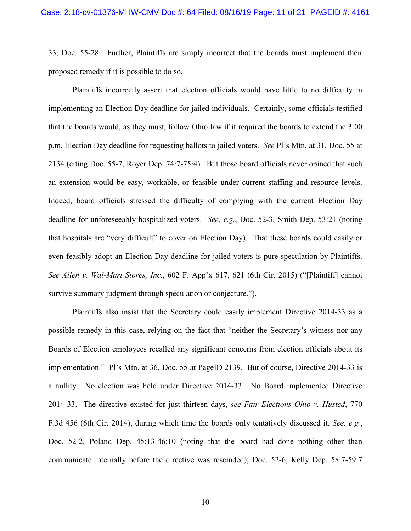33, Doc. 55-28. Further, Plaintiffs are simply incorrect that the boards must implement their proposed remedy if it is possible to do so.

Plaintiffs incorrectly assert that election officials would have little to no difficulty in implementing an Election Day deadline for jailed individuals. Certainly, some officials testified that the boards would, as they must, follow Ohio law if it required the boards to extend the 3:00 p.m. Election Day deadline for requesting ballots to jailed voters. *See* Pl's Mtn. at 31, Doc. 55 at 2134 (citing Doc. 55-7, Royer Dep. 74:7-75:4). But those board officials never opined that such an extension would be easy, workable, or feasible under current staffing and resource levels. Indeed, board officials stressed the difficulty of complying with the current Election Day deadline for unforeseeably hospitalized voters. *See, e.g.*, Doc. 52-3, Smith Dep. 53:21 (noting that hospitals are "very difficult" to cover on Election Day). That these boards could easily or even feasibly adopt an Election Day deadline for jailed voters is pure speculation by Plaintiffs. *See Allen v. Wal-Mart Stores, Inc.*, 602 F. App'x 617, 621 (6th Cir. 2015) ("[Plaintiff] cannot survive summary judgment through speculation or conjecture.").

Plaintiffs also insist that the Secretary could easily implement Directive 2014-33 as a possible remedy in this case, relying on the fact that "neither the Secretary's witness nor any Boards of Election employees recalled any significant concerns from election officials about its implementation." Pl's Mtn. at 36, Doc. 55 at PageID 2139. But of course, Directive 2014-33 is a nullity. No election was held under Directive 2014-33. No Board implemented Directive 2014-33. The directive existed for just thirteen days, *see Fair Elections Ohio v. Husted*, 770 F.3d 456 (6th Cir. 2014), during which time the boards only tentatively discussed it. *See, e.g.*, Doc. 52-2, Poland Dep. 45:13-46:10 (noting that the board had done nothing other than communicate internally before the directive was rescinded); Doc. 52-6, Kelly Dep. 58:7-59:7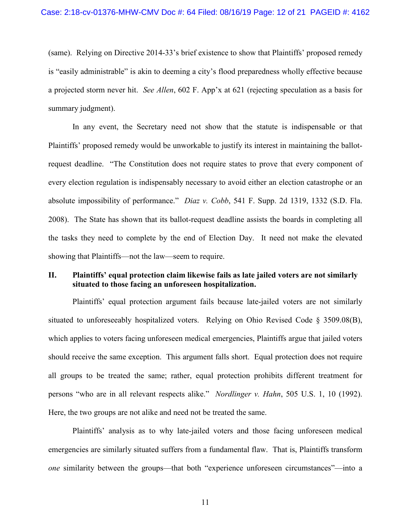(same). Relying on Directive 2014-33's brief existence to show that Plaintiffs' proposed remedy is "easily administrable" is akin to deeming a city's flood preparedness wholly effective because a projected storm never hit. *See Allen*, 602 F. App'x at 621 (rejecting speculation as a basis for summary judgment).

In any event, the Secretary need not show that the statute is indispensable or that Plaintiffs' proposed remedy would be unworkable to justify its interest in maintaining the ballotrequest deadline. "The Constitution does not require states to prove that every component of every election regulation is indispensably necessary to avoid either an election catastrophe or an absolute impossibility of performance." *Diaz v. Cobb*, 541 F. Supp. 2d 1319, 1332 (S.D. Fla. 2008). The State has shown that its ballot-request deadline assists the boards in completing all the tasks they need to complete by the end of Election Day. It need not make the elevated showing that Plaintiffs—not the law—seem to require.

### **II. Plaintiffs' equal protection claim likewise fails as late jailed voters are not similarly situated to those facing an unforeseen hospitalization.**

Plaintiffs' equal protection argument fails because late-jailed voters are not similarly situated to unforeseeably hospitalized voters. Relying on Ohio Revised Code § 3509.08(B), which applies to voters facing unforeseen medical emergencies, Plaintiffs argue that jailed voters should receive the same exception. This argument falls short. Equal protection does not require all groups to be treated the same; rather, equal protection prohibits different treatment for persons "who are in all relevant respects alike." *Nordlinger v. Hahn*, 505 U.S. 1, 10 (1992). Here, the two groups are not alike and need not be treated the same.

Plaintiffs' analysis as to why late-jailed voters and those facing unforeseen medical emergencies are similarly situated suffers from a fundamental flaw. That is, Plaintiffs transform *one* similarity between the groups—that both "experience unforeseen circumstances"—into a

11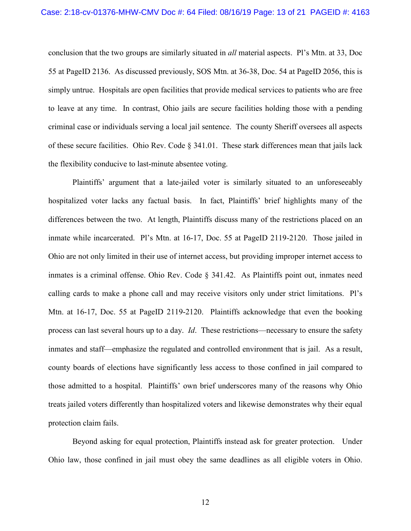conclusion that the two groups are similarly situated in *all* material aspects. Pl's Mtn. at 33, Doc 55 at PageID 2136. As discussed previously, SOS Mtn. at 36-38, Doc. 54 at PageID 2056, this is simply untrue. Hospitals are open facilities that provide medical services to patients who are free to leave at any time. In contrast, Ohio jails are secure facilities holding those with a pending criminal case or individuals serving a local jail sentence. The county Sheriff oversees all aspects of these secure facilities. Ohio Rev. Code § 341.01. These stark differences mean that jails lack the flexibility conducive to last-minute absentee voting.

Plaintiffs' argument that a late-jailed voter is similarly situated to an unforeseeably hospitalized voter lacks any factual basis. In fact, Plaintiffs' brief highlights many of the differences between the two. At length, Plaintiffs discuss many of the restrictions placed on an inmate while incarcerated. Pl's Mtn. at 16-17, Doc. 55 at PageID 2119-2120. Those jailed in Ohio are not only limited in their use of internet access, but providing improper internet access to inmates is a criminal offense. Ohio Rev. Code § 341.42. As Plaintiffs point out, inmates need calling cards to make a phone call and may receive visitors only under strict limitations. Pl's Mtn. at 16-17, Doc. 55 at PageID 2119-2120. Plaintiffs acknowledge that even the booking process can last several hours up to a day. *Id*. These restrictions—necessary to ensure the safety inmates and staff—emphasize the regulated and controlled environment that is jail. As a result, county boards of elections have significantly less access to those confined in jail compared to those admitted to a hospital. Plaintiffs' own brief underscores many of the reasons why Ohio treats jailed voters differently than hospitalized voters and likewise demonstrates why their equal protection claim fails.

Beyond asking for equal protection, Plaintiffs instead ask for greater protection. Under Ohio law, those confined in jail must obey the same deadlines as all eligible voters in Ohio.

12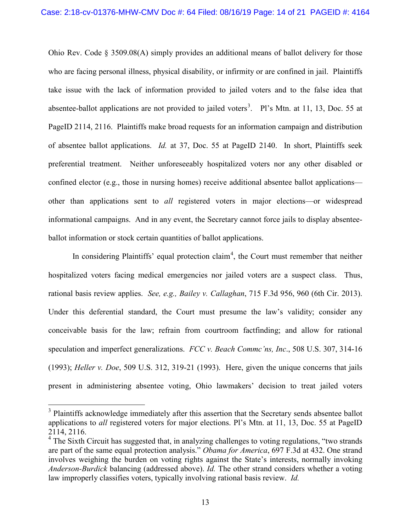Ohio Rev. Code § 3509.08(A) simply provides an additional means of ballot delivery for those who are facing personal illness, physical disability, or infirmity or are confined in jail. Plaintiffs take issue with the lack of information provided to jailed voters and to the false idea that absentee-ballot applications are not provided to jailed voters<sup>[3](#page-13-0)</sup>. Pl's Mtn. at 11, 13, Doc. 55 at PageID 2114, 2116. Plaintiffs make broad requests for an information campaign and distribution of absentee ballot applications. *Id.* at 37, Doc. 55 at PageID 2140. In short, Plaintiffs seek preferential treatment. Neither unforeseeably hospitalized voters nor any other disabled or confined elector (e.g., those in nursing homes) receive additional absentee ballot applications other than applications sent to *all* registered voters in major elections—or widespread informational campaigns. And in any event, the Secretary cannot force jails to display absenteeballot information or stock certain quantities of ballot applications.

In considering Plaintiffs' equal protection claim<sup>[4](#page-13-1)</sup>, the Court must remember that neither hospitalized voters facing medical emergencies nor jailed voters are a suspect class. Thus, rational basis review applies. *See, e.g., Bailey v. Callaghan*, 715 F.3d 956, 960 (6th Cir. 2013). Under this deferential standard, the Court must presume the law's validity; consider any conceivable basis for the law; refrain from courtroom factfinding; and allow for rational speculation and imperfect generalizations. *FCC v. Beach Commc'ns, Inc*., 508 U.S. 307, 314-16 (1993); *Heller v. Doe*, 509 U.S. 312, 319-21 (1993). Here, given the unique concerns that jails present in administering absentee voting, Ohio lawmakers' decision to treat jailed voters

<span id="page-13-0"></span><sup>&</sup>lt;sup>3</sup> Plaintiffs acknowledge immediately after this assertion that the Secretary sends absentee ballot applications to *all* registered voters for major elections. Pl's Mtn. at 11, 13, Doc. 55 at PageID 2114, 2116.<br><sup>4</sup> The Sixth Circuit has suggested that, in analyzing challenges to voting regulations, "two strands"

<span id="page-13-1"></span>are part of the same equal protection analysis." *Obama for America*, 697 F.3d at 432. One strand involves weighing the burden on voting rights against the State's interests, normally invoking *Anderson-Burdick* balancing (addressed above). *Id.* The other strand considers whether a voting law improperly classifies voters, typically involving rational basis review. *Id.*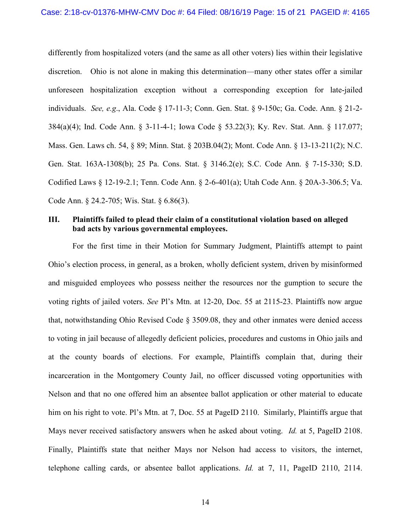differently from hospitalized voters (and the same as all other voters) lies within their legislative discretion. Ohio is not alone in making this determination—many other states offer a similar unforeseen hospitalization exception without a corresponding exception for late-jailed individuals. *See, e.g*., Ala. Code § 17-11-3; Conn. Gen. Stat. § 9-150c; Ga. Code. Ann. § 21-2- 384(a)(4); Ind. Code Ann. § 3-11-4-1; Iowa Code § 53.22(3); Ky. Rev. Stat. Ann. § 117.077; Mass. Gen. Laws ch. 54, § 89; Minn. Stat. § 203B.04(2); Mont. Code Ann. § 13-13-211(2); N.C. Gen. Stat. 163A-1308(b); 25 Pa. Cons. Stat. § 3146.2(e); S.C. Code Ann. § 7-15-330; S.D. Codified Laws § 12-19-2.1; Tenn. Code Ann. § 2-6-401(a); Utah Code Ann. § 20A-3-306.5; Va. Code Ann. § 24.2-705; Wis. Stat. § 6.86(3).

### **III. Plaintiffs failed to plead their claim of a constitutional violation based on alleged bad acts by various governmental employees.**

For the first time in their Motion for Summary Judgment, Plaintiffs attempt to paint Ohio's election process, in general, as a broken, wholly deficient system, driven by misinformed and misguided employees who possess neither the resources nor the gumption to secure the voting rights of jailed voters. *See* Pl's Mtn. at 12-20, Doc. 55 at 2115-23. Plaintiffs now argue that, notwithstanding Ohio Revised Code § 3509.08, they and other inmates were denied access to voting in jail because of allegedly deficient policies, procedures and customs in Ohio jails and at the county boards of elections. For example, Plaintiffs complain that, during their incarceration in the Montgomery County Jail, no officer discussed voting opportunities with Nelson and that no one offered him an absentee ballot application or other material to educate him on his right to vote. Pl's Mtn. at 7, Doc. 55 at PageID 2110. Similarly, Plaintiffs argue that Mays never received satisfactory answers when he asked about voting. *Id.* at 5, PageID 2108. Finally, Plaintiffs state that neither Mays nor Nelson had access to visitors, the internet, telephone calling cards, or absentee ballot applications. *Id.* at 7, 11, PageID 2110, 2114.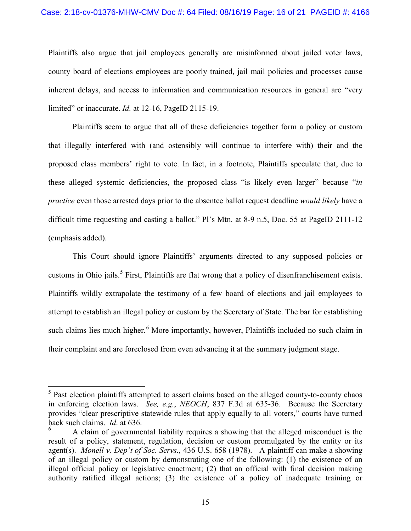#### Case: 2:18-cv-01376-MHW-CMV Doc #: 64 Filed: 08/16/19 Page: 16 of 21 PAGEID #: 4166

Plaintiffs also argue that jail employees generally are misinformed about jailed voter laws, county board of elections employees are poorly trained, jail mail policies and processes cause inherent delays, and access to information and communication resources in general are "very limited" or inaccurate. *Id.* at 12-16, PageID 2115-19.

Plaintiffs seem to argue that all of these deficiencies together form a policy or custom that illegally interfered with (and ostensibly will continue to interfere with) their and the proposed class members' right to vote. In fact, in a footnote, Plaintiffs speculate that, due to these alleged systemic deficiencies, the proposed class "is likely even larger" because "*in practice* even those arrested days prior to the absentee ballot request deadline *would likely* have a difficult time requesting and casting a ballot." Pl's Mtn. at 8-9 n.5, Doc. 55 at PageID 2111-12 (emphasis added).

This Court should ignore Plaintiffs' arguments directed to any supposed policies or customs in Ohio jails.<sup>[5](#page-15-0)</sup> First, Plaintiffs are flat wrong that a policy of disenfranchisement exists. Plaintiffs wildly extrapolate the testimony of a few board of elections and jail employees to attempt to establish an illegal policy or custom by the Secretary of State. The bar for establishing such claims lies much higher.<sup>[6](#page-15-1)</sup> More importantly, however, Plaintiffs included no such claim in their complaint and are foreclosed from even advancing it at the summary judgment stage.

<span id="page-15-0"></span><sup>&</sup>lt;sup>5</sup> Past election plaintiffs attempted to assert claims based on the alleged county-to-county chaos in enforcing election laws. *See, e.g.*, *NEOCH*, 837 F.3d at 635-36. Because the Secretary provides "clear prescriptive statewide rules that apply equally to all voters," courts have turned back such claims. *Id*. at 636.

<span id="page-15-1"></span><sup>6</sup> A claim of governmental liability requires a showing that the alleged misconduct is the result of a policy, statement, regulation, decision or custom promulgated by the entity or its agent(s). *Monell v. Dep't of Soc. Servs.,* 436 U.S. 658 (1978). A plaintiff can make a showing of an illegal policy or custom by demonstrating one of the following: (1) the existence of an illegal official policy or legislative enactment; (2) that an official with final decision making authority ratified illegal actions; (3) the existence of a policy of inadequate training or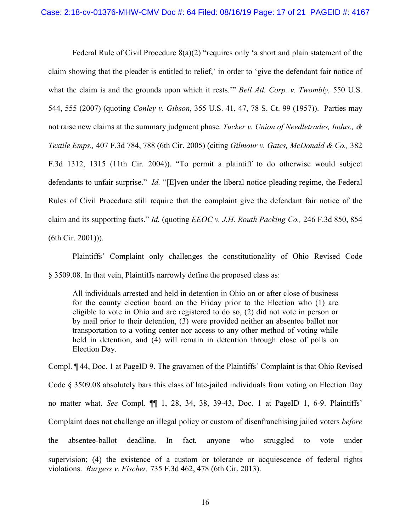Federal Rule of Civil Procedure  $8(a)(2)$  "requires only 'a short and plain statement of the claim showing that the pleader is entitled to relief,' in order to 'give the defendant fair notice of what the claim is and the grounds upon which it rests.'" *Bell Atl. Corp. v. Twombly,* 550 U.S. 544, 555 (2007) (quoting *Conley v. Gibson,* 355 U.S. 41, 47, 78 S. Ct. 99 (1957)). Parties may not raise new claims at the summary judgment phase. *Tucker v. Union of Needletrades, Indus., & Textile Emps.,* 407 F.3d 784, 788 (6th Cir. 2005) (citing *Gilmour v. Gates, McDonald & Co.,* 382 F.3d 1312, 1315 (11th Cir. 2004)). "To permit a plaintiff to do otherwise would subject defendants to unfair surprise." *Id.* "[E]ven under the liberal notice-pleading regime, the Federal Rules of Civil Procedure still require that the complaint give the defendant fair notice of the claim and its supporting facts." *Id.* (quoting *EEOC v. J.H. Routh Packing Co.,* 246 F.3d 850, 854 (6th Cir. 2001))).

Plaintiffs' Complaint only challenges the constitutionality of Ohio Revised Code § 3509.08. In that vein, Plaintiffs narrowly define the proposed class as:

All individuals arrested and held in detention in Ohio on or after close of business for the county election board on the Friday prior to the Election who (1) are eligible to vote in Ohio and are registered to do so, (2) did not vote in person or by mail prior to their detention, (3) were provided neither an absentee ballot nor transportation to a voting center nor access to any other method of voting while held in detention, and (4) will remain in detention through close of polls on Election Day.

Compl. ¶ 44, Doc. 1 at PageID 9. The gravamen of the Plaintiffs' Complaint is that Ohio Revised Code § 3509.08 absolutely bars this class of late-jailed individuals from voting on Election Day no matter what. *See* Compl. ¶¶ 1, 28, 34, 38, 39-43, Doc. 1 at PageID 1, 6-9. Plaintiffs' Complaint does not challenge an illegal policy or custom of disenfranchising jailed voters *before*  the absentee-ballot deadline. In fact, anyone who struggled to vote under  $\overline{a}$ 

supervision; (4) the existence of a custom or tolerance or acquiescence of federal rights violations. *Burgess v. Fischer,* 735 F.3d 462, 478 (6th Cir. 2013).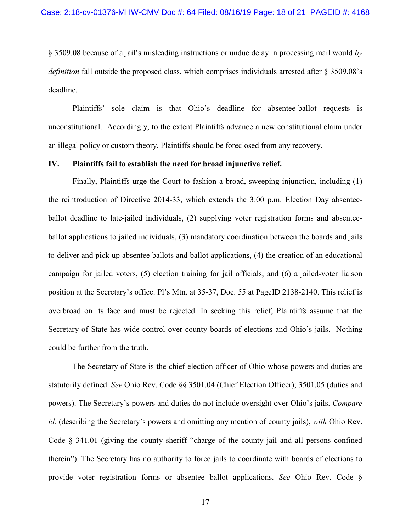§ 3509.08 because of a jail's misleading instructions or undue delay in processing mail would *by definition* fall outside the proposed class, which comprises individuals arrested after § 3509.08's deadline.

Plaintiffs' sole claim is that Ohio's deadline for absentee-ballot requests is unconstitutional. Accordingly, to the extent Plaintiffs advance a new constitutional claim under an illegal policy or custom theory, Plaintiffs should be foreclosed from any recovery.

#### **IV. Plaintiffs fail to establish the need for broad injunctive relief.**

Finally, Plaintiffs urge the Court to fashion a broad, sweeping injunction, including (1) the reintroduction of Directive 2014-33, which extends the 3:00 p.m. Election Day absenteeballot deadline to late-jailed individuals, (2) supplying voter registration forms and absenteeballot applications to jailed individuals, (3) mandatory coordination between the boards and jails to deliver and pick up absentee ballots and ballot applications, (4) the creation of an educational campaign for jailed voters, (5) election training for jail officials, and (6) a jailed-voter liaison position at the Secretary's office. Pl's Mtn. at 35-37, Doc. 55 at PageID 2138-2140. This relief is overbroad on its face and must be rejected. In seeking this relief, Plaintiffs assume that the Secretary of State has wide control over county boards of elections and Ohio's jails. Nothing could be further from the truth.

The Secretary of State is the chief election officer of Ohio whose powers and duties are statutorily defined. *See* Ohio Rev. Code §§ 3501.04 (Chief Election Officer); 3501.05 (duties and powers). The Secretary's powers and duties do not include oversight over Ohio's jails. *Compare id.* (describing the Secretary's powers and omitting any mention of county jails), *with* Ohio Rev. Code § 341.01 (giving the county sheriff "charge of the county jail and all persons confined therein"). The Secretary has no authority to force jails to coordinate with boards of elections to provide voter registration forms or absentee ballot applications. *See* Ohio Rev. Code §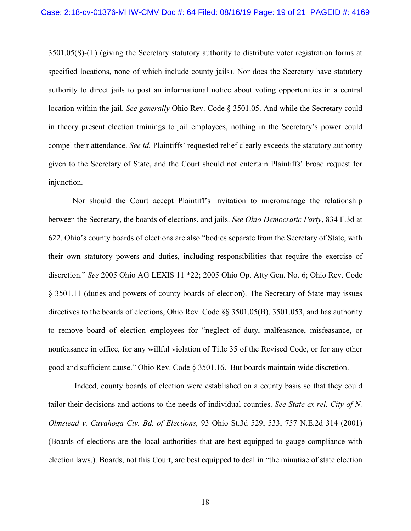3501.05(S)-(T) (giving the Secretary statutory authority to distribute voter registration forms at specified locations, none of which include county jails). Nor does the Secretary have statutory authority to direct jails to post an informational notice about voting opportunities in a central location within the jail. *See generally* Ohio Rev. Code § 3501.05. And while the Secretary could in theory present election trainings to jail employees, nothing in the Secretary's power could compel their attendance. *See id.* Plaintiffs' requested relief clearly exceeds the statutory authority given to the Secretary of State, and the Court should not entertain Plaintiffs' broad request for injunction.

Nor should the Court accept Plaintiff's invitation to micromanage the relationship between the Secretary, the boards of elections, and jails. *See Ohio Democratic Party*, 834 F.3d at 622. Ohio's county boards of elections are also "bodies separate from the Secretary of State, with their own statutory powers and duties, including responsibilities that require the exercise of discretion." *See* 2005 Ohio AG LEXIS 11 \*22; 2005 Ohio Op. Atty Gen. No. 6; Ohio Rev. Code § 3501.11 (duties and powers of county boards of election). The Secretary of State may issues directives to the boards of elections, Ohio Rev. Code §§ 3501.05(B), 3501.053, and has authority to remove board of election employees for "neglect of duty, malfeasance, misfeasance, or nonfeasance in office, for any willful violation of Title 35 of the Revised Code, or for any other good and sufficient cause." Ohio Rev. Code § 3501.16. But boards maintain wide discretion.

Indeed, county boards of election were established on a county basis so that they could tailor their decisions and actions to the needs of individual counties. *See State ex rel. City of N. Olmstead v. Cuyahoga Cty. Bd. of Elections,* 93 Ohio St.3d 529, 533, 757 N.E.2d 314 (2001) (Boards of elections are the local authorities that are best equipped to gauge compliance with election laws.). Boards, not this Court, are best equipped to deal in "the minutiae of state election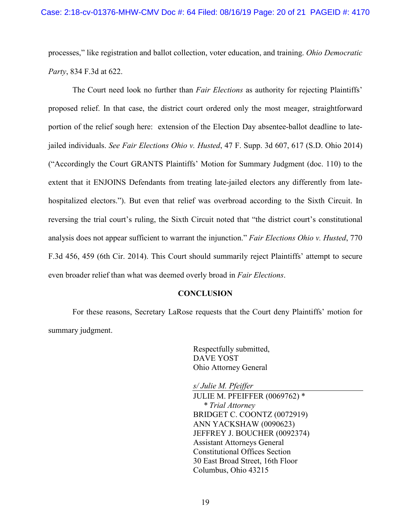processes," like registration and ballot collection, voter education, and training. *Ohio Democratic Party*, 834 F.3d at 622.

The Court need look no further than *Fair Elections* as authority for rejecting Plaintiffs' proposed relief. In that case, the district court ordered only the most meager, straightforward portion of the relief sough here: extension of the Election Day absentee-ballot deadline to latejailed individuals. *See Fair Elections Ohio v. Husted*, 47 F. Supp. 3d 607, 617 (S.D. Ohio 2014) ("Accordingly the Court GRANTS Plaintiffs' Motion for Summary Judgment (doc. 110) to the extent that it ENJOINS Defendants from treating late-jailed electors any differently from latehospitalized electors."). But even that relief was overbroad according to the Sixth Circuit. In reversing the trial court's ruling, the Sixth Circuit noted that "the district court's constitutional analysis does not appear sufficient to warrant the injunction." *Fair Elections Ohio v. Husted*, 770 F.3d 456, 459 (6th Cir. 2014). This Court should summarily reject Plaintiffs' attempt to secure even broader relief than what was deemed overly broad in *Fair Elections*.

#### **CONCLUSION**

For these reasons, Secretary LaRose requests that the Court deny Plaintiffs' motion for summary judgment.

> Respectfully submitted, DAVE YOST Ohio Attorney General

*s/ Julie M. Pfeiffer* JULIE M. PFEIFFER (0069762) \* *\* Trial Attorney* BRIDGET C. COONTZ (0072919) ANN YACKSHAW (0090623) JEFFREY J. BOUCHER (0092374) Assistant Attorneys General Constitutional Offices Section 30 East Broad Street, 16th Floor Columbus, Ohio 43215